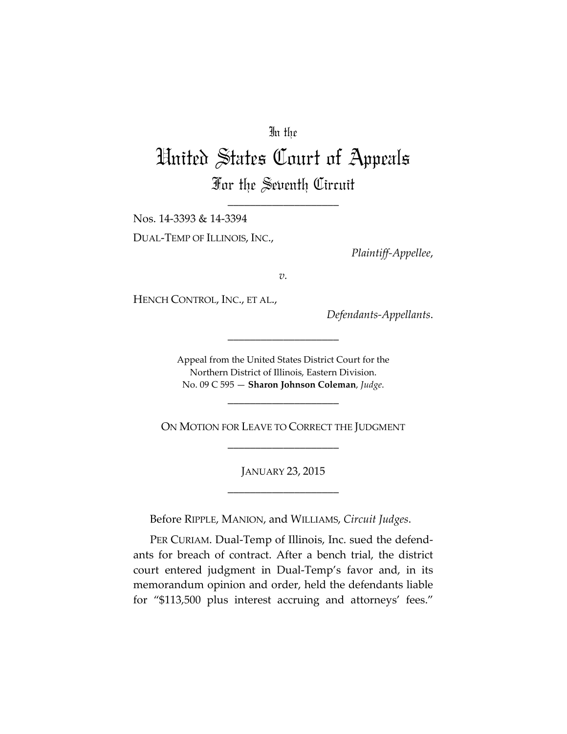## In the

## United States Court of Appeals For the Seventh Circuit

\_\_\_\_\_\_\_\_\_\_\_\_\_\_\_\_\_\_\_\_

Nos. 14-3393 & 14-3394 DUAL-TEMP OF ILLINOIS, INC.,

*Plaintiff-Appellee*,

*v.*

HENCH CONTROL, INC., ET AL.,

*Defendants-Appellants*.

Appeal from the United States District Court for the Northern District of Illinois, Eastern Division. No. 09 C 595 — **Sharon Johnson Coleman**, *Judge*.

\_\_\_\_\_\_\_\_\_\_\_\_\_\_\_\_\_\_\_\_

\_\_\_\_\_\_\_\_\_\_\_\_\_\_\_\_\_\_\_\_

ON MOTION FOR LEAVE TO CORRECT THE JUDGMENT \_\_\_\_\_\_\_\_\_\_\_\_\_\_\_\_\_\_\_\_

> JANUARY 23, 2015 \_\_\_\_\_\_\_\_\_\_\_\_\_\_\_\_\_\_\_\_

Before RIPPLE, MANION, and WILLIAMS, *Circuit Judges*.

PER CURIAM. Dual-Temp of Illinois, Inc. sued the defendants for breach of contract. After a bench trial, the district court entered judgment in Dual-Temp's favor and, in its memorandum opinion and order, held the defendants liable for "\$113,500 plus interest accruing and attorneys' fees."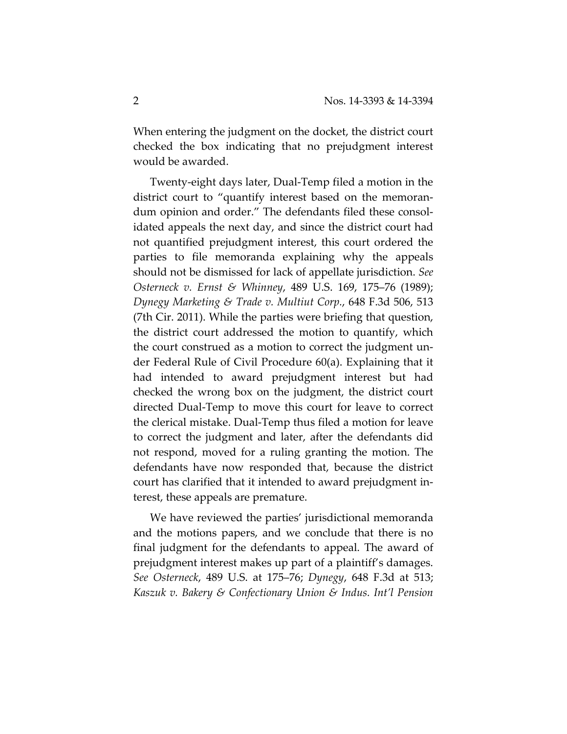When entering the judgment on the docket, the district court checked the box indicating that no prejudgment interest would be awarded.

Twenty-eight days later, Dual-Temp filed a motion in the district court to "quantify interest based on the memorandum opinion and order." The defendants filed these consolidated appeals the next day, and since the district court had not quantified prejudgment interest, this court ordered the parties to file memoranda explaining why the appeals should not be dismissed for lack of appellate jurisdiction. *See Osterneck v. Ernst & Whinney*, 489 U.S. 169, 175–76 (1989); *Dynegy Marketing & Trade v. Multiut Corp.*, 648 F.3d 506, 513 (7th Cir. 2011). While the parties were briefing that question, the district court addressed the motion to quantify, which the court construed as a motion to correct the judgment under Federal Rule of Civil Procedure 60(a). Explaining that it had intended to award prejudgment interest but had checked the wrong box on the judgment, the district court directed Dual-Temp to move this court for leave to correct the clerical mistake. Dual-Temp thus filed a motion for leave to correct the judgment and later, after the defendants did not respond, moved for a ruling granting the motion. The defendants have now responded that, because the district court has clarified that it intended to award prejudgment interest, these appeals are premature.

We have reviewed the parties' jurisdictional memoranda and the motions papers, and we conclude that there is no final judgment for the defendants to appeal. The award of prejudgment interest makes up part of a plaintiff's damages. *See Osterneck*, 489 U.S. at 175–76; *Dynegy*, 648 F.3d at 513; *Kaszuk v. Bakery & Confectionary Union & Indus. Int'l Pension*